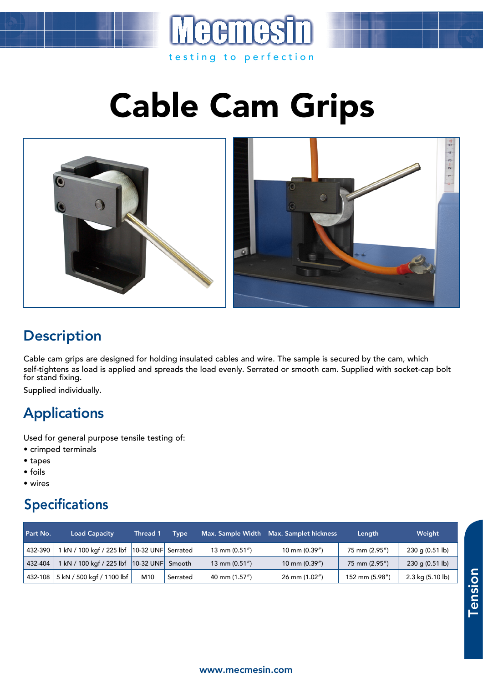

Cable Cam Grips



## **Description**

Cable cam grips are designed for holding insulated cables and wire. The sample is secured by the cam, which self-tightens as load is applied and spreads the load evenly. Serrated or smooth cam. Supplied with socket-cap bolt for stand fixing.

Supplied individually.

## Applications

Used for general purpose tensile testing of:

- crimped terminals
- tapes
- foils
- wires

## Specifications

| Part No. | <b>Load Capacity</b>                        | Thread 1        | <b>Type</b> |                  | Max. Sample Width Max. Samplet hickness | Length         | Weight            |
|----------|---------------------------------------------|-----------------|-------------|------------------|-----------------------------------------|----------------|-------------------|
| 432-390  | kN / 100 kgf / 225 lbf   10-32 UNF Serrated |                 |             | 13 mm $(0.51'')$ | 10 mm (0.39")                           | 75 mm (2.95")  | $230$ g (0.51 lb) |
| 432-404  | l kN / 100 kgf / 225 lbf  10-32 UNF         |                 | Smooth      | 13 mm $(0.51'')$ | 10 mm $(0.39'')$                        | 75 mm (2.95")  | $230$ g (0.51 lb) |
| 432-108  | 5 kN / 500 kgf / 1100 lbf                   | M <sub>10</sub> | Serrated    | 40 mm (1.57")    | 26 mm (1.02")                           | 152 mm (5.98") | 2.3 kg (5.10 lb)  |

Tension